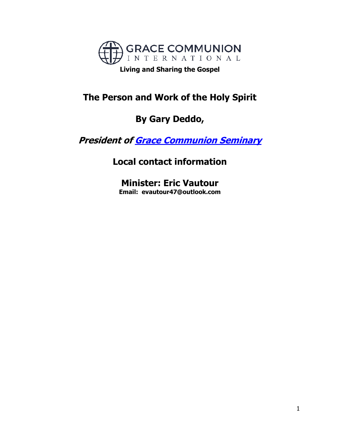

**Living and Sharing the Gospel**

# **The Person and Work of the Holy Spirit**

# **By Gary Deddo,**

**President of [Grace Communion Seminary](https://www.gcs.edu/)**

**Local contact information**

**Minister: Eric Vautour Email: evautour47@outlook.com**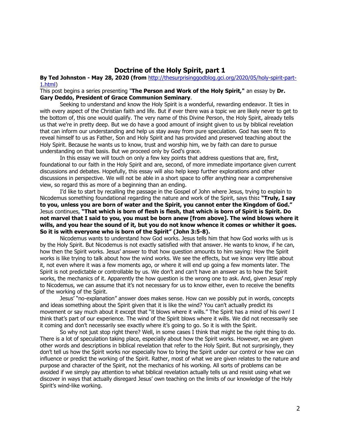# **Doctrine of the Holy Spirit, part 1**

# **By Ted [Johnston](https://www.blogger.com/profile/08677739021765621811) - [May 28, 2020](http://thesurprisinggodblog.gci.org/2020/05/holy-spirit-part-1.html) (from** [http://thesurprisinggodblog.gci.org/2020/05/holy-spirit-part-](http://thesurprisinggodblog.gci.org/2020/05/holy-spirit-part-1.html)[1.html\)](http://thesurprisinggodblog.gci.org/2020/05/holy-spirit-part-1.html)

This post begins a series presenting "**The Person and Work of the Holy Spirit,"** an essay by **Dr. Gary Deddo, President of [Grace Communion Seminary](https://www.gcs.edu/)**.

Seeking to understand and know the Holy Spirit is a wonderful, rewarding endeavor. It ties in with every aspect of the Christian faith and life. But if ever there was a topic we are likely never to get to the bottom of, this one would qualify. The very name of this Divine Person, the Holy Spirit, already tells us that we're in pretty deep. But we do have a good amount of insight given to us by biblical revelation that can inform our understanding and help us stay away from pure speculation. God has seen fit to reveal himself to us as Father, Son and Holy Spirit and has provided and preserved teaching about the Holy Spirit. Because he wants us to know, trust and worship him, we by faith can dare to pursue understanding on that basis. But we proceed only by God's grace.

In this essay we will touch on only a few key points that address questions that are, first, foundational to our faith in the Holy Spirit and are, second, of more immediate importance given current discussions and debates. Hopefully, this essay will also help keep further explorations and other discussions in perspective. We will not be able in a short space to offer anything near a comprehensive view, so regard this as more of a beginning than an ending.

I'd like to start by recalling the passage in the Gospel of John where Jesus, trying to explain to Nicodemus something foundational regarding the nature and work of the Spirit, says this**: "Truly, I say to you, unless you are born of water and the Spirit, you cannot enter the Kingdom of God."** Jesus continues, **"That which is born of flesh is flesh, that which is born of Spirit is Spirit. Do not marvel that I said to you, you must be born anew [from above]. The wind blows where it wills, and you hear the sound of it, but you do not know whence it comes or whither it goes. So it is with everyone who is born of the Spirit" ([John 3:5-8\)](https://biblia.com/bible/niv/John%203.5-8).**

Nicodemus wants to understand how God works. Jesus tells him that how God works with us is by the Holy Spirit. But Nicodemus is not exactly satisfied with that answer. He wants to know, if he can, how then the Spirit works. Jesus' answer to that how question amounts to him saying: How the Spirit works is like trying to talk about how the wind works. We see the effects, but we know very little about it, not even where it was a few moments ago, or where it will end up going a few moments later. The Spirit is not predictable or controllable by us. We don't and can't have an answer as to how the Spirit works, the mechanics of it. Apparently the how question is the wrong one to ask. And, given Jesus' reply to Nicodemus, we can assume that it's not necessary for us to know either, even to receive the benefits of the working of the Spirit.

Jesus' "no-explanation" answer does makes sense. How can we possibly put in words, concepts and ideas something about the Spirit given that it is like the wind? You can't actually predict its movement or say much about it except that "it blows where it wills." The Spirit has a mind of his own! I think that's part of our experience. The wind of the Spirit blows where it wills. We did not necessarily see it coming and don't necessarily see exactly where it's going to go. So it is with the Spirit.

So why not just stop right there? Well, in some cases I think that might be the right thing to do. There is a lot of speculation taking place, especially about how the Spirit works. However, we are given other words and descriptions in biblical revelation that refer to the Holy Spirit. But not surprisingly, they don't tell us how the Spirit works nor especially how to bring the Spirit under our control or how we can influence or predict the working of the Spirit. Rather, most of what we are given relates to the nature and purpose and character of the Spirit, not the mechanics of his working. All sorts of problems can be avoided if we simply pay attention to what biblical revelation actually tells us and resist using what we discover in ways that actually disregard Jesus' own teaching on the limits of our knowledge of the Holy Spirit's wind-like working.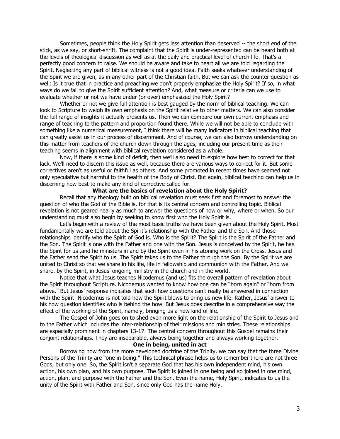Sometimes, people think the Holy Spirit gets less attention than deserved -- the short end of the stick, as we say, or short-shrift. The complaint that the Spirit is under-represented can be heard both at the levels of theological discussion as well as at the daily and practical level of church life. That's a perfectly good concern to raise. We should be aware and take to heart all we are told regarding the Spirit. Neglecting any part of biblical witness is not a good idea. Faith seeks whatever understanding of the Spirit we are given, as in any other part of the Christian faith. But we can ask the counter question as well: Is it true that in practice and preaching we don't properly emphasize the Holy Spirit? If so, in what ways do we fail to give the Spirit sufficient attention? And, what measure or criteria can we use to evaluate whether or not we have under (or over) emphasized the Holy Spirit?

Whether or not we give full attention is best gauged by the norm of biblical teaching. We can look to Scripture to weigh its own emphasis on the Spirit relative to other matters. We can also consider the full range of insights it actually presents us. Then we can compare our own current emphasis and range of teaching to the pattern and proportion found there. While we will not be able to conclude with something like a numerical measurement, I think there will be many indicators in biblical teaching that can greatly assist us in our process of discernment. And of course, we can also borrow understanding on this matter from teachers of the church down through the ages, including our present time as their teaching seems in alignment with biblical revelation considered as a whole.

Now, if there is some kind of deficit, then we'll also need to explore how best to correct for that lack. We'll need to discern this issue as well, because there are various ways to correct for it. But some correctives aren't as useful or faithful as others. And some promoted in recent times have seemed not only speculative but harmful to the health of the Body of Christ. But again, biblical teaching can help us in discerning how best to make any kind of corrective called for.

## **What are the basics of revelation about the Holy Spirit?**

Recall that any theology built on biblical revelation must seek first and foremost to answer the question of who the God of the Bible is, for that is its central concern and controlling topic. Biblical revelation is not geared nearly as much to answer the questions of how or why, where or when. So our understanding must also begin by seeking to know first who the Holy Spirit is.

Let's begin with a review of the most basic truths we have been given about the Holy Spirit. Most fundamentally we are told about the Spirit's relationship with the Father and the Son. And those relationships identify who the Spirit of God is. Who is the Spirit? The Spirit is the Spirit of the Father and the Son. The Spirit is one with the Father and one with the Son. Jesus is conceived by the Spirit, he has the Spirit for us ,and he ministers in and by the Spirit even in his atoning work on the Cross. Jesus and the Father send the Spirit to us. The Spirit takes us to the Father through the Son. By the Spirit we are united to Christ so that we share in his life, life in fellowship and communion with the Father. And we share, by the Spirit, in Jesus' ongoing ministry in the church and in the world.

Notice that what Jesus teaches Nicodemus (and us) fits the overall pattern of revelation about the Spirit throughout Scripture. Nicodemus wanted to know how one can be "born again" or "born from above." But Jesus' response indicates that such how questions can't really be answered in connection with the Spirit! Nicodemus is not told how the Spirit blows to bring us new life. Rather, Jesus' answer to his how question identifies who is behind the how. But Jesus does describe in a comprehensive way the effect of the working of the Spirit, namely, bringing us a new kind of life.

The Gospel of John goes on to shed even more light on the relationship of the Spirit to Jesus and to the Father which includes the inter-relationship of their missions and ministries. These relationships are especially prominent in chapters 13-17. The central concern throughout this Gospel remains their conjoint relationships. They are inseparable, always being together and always working together.

# **One in being, united in act**

Borrowing now from the more developed doctrine of the Trinity, we can say that the three Divine Persons of the Trinity are "one in being." This technical phrase helps us to remember there are not three Gods, but only one. So, the Spirit isn't a separate God that has his own independent mind, his own action, his own plan, and his own purpose. The Spirit is joined in one being and so joined in one mind, action, plan, and purpose with the Father and the Son. Even the name, Holy Spirit, indicates to us the unity of the Spirit with Father and Son, since only God has the name Holy.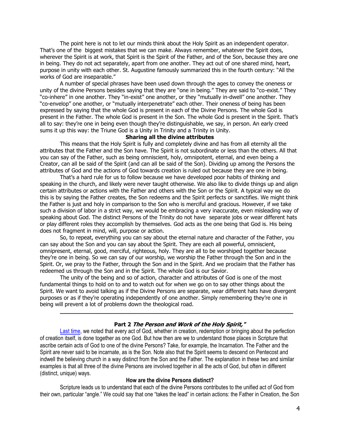The point here is not to let our minds think about the Holy Spirit as an independent operator. That's one of the biggest mistakes that we can make. Always remember, whatever the Spirit does, wherever the Spirit is at work, that Spirit is the Spirit of the Father, and of the Son, because they are one in being. They do not act separately, apart from one another. They act out of one shared mind, heart, purpose in unity with each other. St. Augustine famously summarized this in the fourth century: "All the works of God are inseparable."

A number of special phrases have been used down through the ages to convey the oneness or unity of the divine Persons besides saying that they are "one in being." They are said to "co-exist." They "co-inhere" in one another. They "in-exist" one another, or they "mutually in-dwell" one another. They "co-envelop" one another, or "mutually interpenetrate" each other. Their oneness of being has been expressed by saying that the whole God is present in each of the Divine Persons. The whole God is present in the Father. The whole God is present in the Son. The whole God is present in the Spirit. That's all to say: they're one in being even though they're distinguishable, we say, in person. An early creed sums it up this way: the Triune God is a Unity in Trinity and a Trinity in Unity.

# **Sharing all the divine attributes**

This means that the Holy Spirit is fully and completely divine and has from all eternity all the attributes that the Father and the Son have. The Spirit is not subordinate or less than the others. All that you can say of the Father, such as being omniscient, holy, omnipotent, eternal, and even being a Creator, can all be said of the Spirit (and can all be said of the Son). Dividing up among the Persons the attributes of God and the actions of God towards creation is ruled out because they are one in being.

That's a hard rule for us to follow because we have developed poor habits of thinking and speaking in the church, and likely were never taught otherwise. We also like to divide things up and align certain attributes or actions with the Father and others with the Son or the Spirit. A typical way we do this is by saying the Father creates, the Son redeems and the Spirit perfects or sanctifies. We might think the Father is just and holy in comparison to the Son who is merciful and gracious. However, if we take such a division of labor in a strict way, we would be embracing a very inaccurate, even misleading way of speaking about God. The distinct Persons of the Trinity do not have separate jobs or wear different hats or play different roles they accomplish by themselves. God acts as the one being that God is. His being does not fragment in mind, will, purpose or action.

So, to repeat, everything you can say about the eternal nature and character of the Father, you can say about the Son and you can say about the Spirit. They are each all powerful, omniscient, omnipresent, eternal, good, merciful, righteous, holy. They are all to be worshiped together because they're one in being. So we can say of our worship, we worship the Father through the Son and in the Spirit. Or, we pray to the Father, through the Son and in the Spirit. And we proclaim that the Father has redeemed us through the Son and in the Spirit. The whole God is our Savior.

The unity of the being and so of action, character and attributes of God is one of the most fundamental things to hold on to and to watch out for when we go on to say other things about the Spirit. We want to avoid talking as if the Divine Persons are separate, wear different hats have divergent purposes or as if they're operating independently of one another. Simply remembering they're one in being will prevent a lot of problems down the theological road.

#### **Part 2 The Person and Work of the Holy Spirit,"**

**\_\_\_\_\_\_\_\_\_\_\_\_\_\_\_\_\_\_\_\_\_\_\_\_\_\_\_\_\_\_\_\_\_\_\_\_\_\_\_\_\_\_\_\_\_\_\_\_\_\_\_\_\_\_\_\_\_\_\_\_\_\_\_\_\_\_**

[Last time,](http://thesurprisinggodblog.gci.org/2020/05/holy-spirit-part-1.html) we noted that every act of God, whether in creation, redemption or bringing about the perfection of creation itself, is done together as one God. But how then are we to understand those places in Scripture that ascribe certain acts of God to one of the divine Persons? Take, for example, the Incarnation. The Father and the Spirit are never said to be incarnate, as is the Son. Note also that the Spirit seems to descend on Pentecost and indwell the believing church in a way distinct from the Son and the Father. The explanation in these two and similar examples is that all three of the divine Persons are involved together in all the acts of God, but often in different (distinct, unique) ways.

#### **How are the divine Persons distinct?**

Scripture leads us to understand that each of the divine Persons contributes to the unified act of God from their own, particular "angle." We could say that one "takes the lead" in certain actions: the Father in Creation, the Son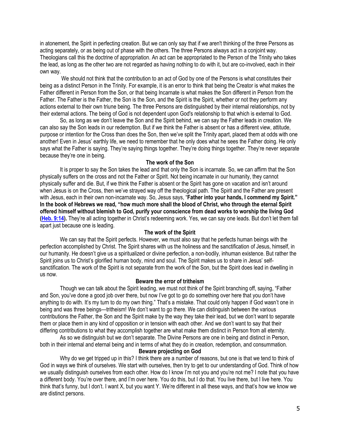in atonement, the Spirit in perfecting creation. But we can only say that if we aren't thinking of the three Persons as acting separately, or as being out of phase with the others. The three Persons always act in a conjoint way. Theologians call this the doctrine of appropriation. An act can be appropriated to the Person of the Trinity who takes the lead, as long as the other two are not regarded as having nothing to do with it, but are co-involved, each in their own way.

We should not think that the contribution to an act of God by one of the Persons is what constitutes their being as a distinct Person in the Trinity. For example, it is an error to think that being the Creator is what makes the Father different in Person from the Son, or that being Incarnate is what makes the Son different in Person from the Father. The Father is the Father, the Son is the Son, and the Spirit is the Spirit, whether or not they perform any actions external to their own triune being. The three Persons are distinguished by their internal relationships, not by their external actions. The being of God is not dependent upon God's relationship to that which is external to God.

So, as long as we don't leave the Son and the Spirit behind, we can say the Father leads in creation. We can also say the Son leads in our redemption. But if we think the Father is absent or has a different view, attitude, purpose or intention for the Cross than does the Son, then we've split the Trinity apart, placed them at odds with one another! Even in Jesus' earthly life, we need to remember that he only does what he sees the Father doing. He only says what the Father is saying. They're saying things together. They're doing things together. They're never separate because they're one in being.

## **The work of the Son**

It is proper to say the Son takes the lead and that only the Son is incarnate. So, we can affirm that the Son physically suffers on the cross and not the Father or Spirit. Not being incarnate in our humanity, they cannot physically suffer and die. But, if we think the Father is absent or the Spirit has gone on vacation and isn't around when Jesus is on the Cross, then we've strayed way off the theological path. The Spirit and the Father are present with Jesus, each in their own non-incarnate way. So, Jesus says, "Father into your hands, I commend my Spirit." **In the book of Hebrews we read, "how much more shall the blood of Christ, who through the eternal Spirit offered himself without blemish to God, purify your conscience from dead works to worship the living God [\(Heb. 9:14\)](https://biblia.com/bible/niv/Heb.%209.14).** They're all acting together in Christ's redeeming work. Yes, we can say one leads. But don't let them fall apart just because one is leading.

## **The work of the Spirit**

We can say that the Spirit perfects. However, we must also say that he perfects human beings with the perfection accomplished by Christ. The Spirit shares with us the holiness and the sanctification of Jesus, himself, in our humanity. He doesn't give us a spiritualized or divine perfection, a non-bodily, inhuman existence. But rather the Spirit joins us to Christ's glorified human body, mind and soul. The Spirit makes us to share in Jesus' selfsanctification. The work of the Spirit is not separate from the work of the Son, but the Spirit does lead in dwelling in us now.

# **Beware the error of tritheism**

Though we can talk about the Spirit leading, we must not think of the Spirit branching off, saying, "Father and Son, you've done a good job over there, but now I've got to go do something over here that you don't have anything to do with. It's my turn to do my own thing." That's a mistake. That could only happen if God wasn't one in being and was three beings—tritheism! We don't want to go there. We can distinguish between the various contributions the Father, the Son and the Spirit make by the way they take their lead, but we don't want to separate them or place them in any kind of opposition or in tension with each other. And we don't want to say that their differing contributions to what they accomplish together are what make them distinct in Person from all eternity.

As so we distinguish but we don't separate. The Divine Persons are one in being and distinct in Person, both in their internal and eternal being and in terms of what they do in creation, redemption, and consummation.

# **Beware projecting on God**

Why do we get tripped up in this? I think there are a number of reasons, but one is that we tend to think of God in ways we think of ourselves. We start with ourselves, then try to get to our understanding of God. Think of how we usually distinguish ourselves from each other. How do I know I'm not you and you're not me? I note that you have a different body. You're over there, and I'm over here. You do this, but I do that. You live there, but I live here. You think that's funny, but I don't. I want X, but you want Y. We're different in all these ways, and that's how we know we are distinct persons.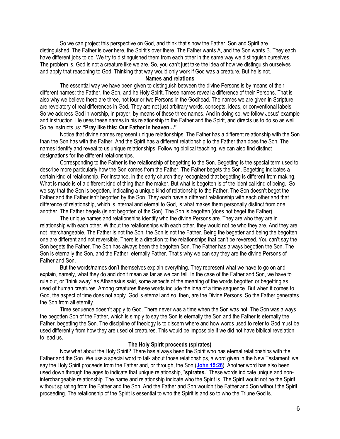So we can project this perspective on God, and think that's how the Father, Son and Spirit are distinguished. The Father is over here, the Spirit's over there. The Father wants A, and the Son wants B. They each have different jobs to do. We try to distinguished them from each other in the same way we distinguish ourselves. The problem is, God is not a creature like we are. So, you can't just take the idea of how we distinguish ourselves and apply that reasoning to God. Thinking that way would only work if God was a creature. But he is not.

# **Names and relations**

The essential way we have been given to distinguish between the divine Persons is by means of their different names: the Father, the Son, and he Holy Spirit. These names reveal a difference of their Persons. That is also why we believe there are three, not four or two Persons in the Godhead. The names we are given in Scripture are revelatory of real differences in God. They are not just arbitrary words, concepts, ideas, or conventional labels. So we address God in worship, in prayer, by means of these three names. And in doing so, we follow Jesus' example and instruction. He uses these names in his relationship to the Father and the Spirit, and directs us to do so as well. So he instructs us: **"Pray like this: Our Father in heaven…"**

Notice that divine names represent unique relationships. The Father has a different relationship with the Son than the Son has with the Father. And the Spirit has a different relationship to the Father than does the Son. The names identify and reveal to us unique relationships. Following biblical teaching, we can also find distinct designations for the different relationships.

Corresponding to the Father is the relationship of begetting to the Son. Begetting is the special term used to describe more particularly how the Son comes from the Father. The Father begets the Son. Begetting indicates a certain kind of relationship. For instance, in the early church they recognized that begetting is different from making. What is made is of a different kind of thing than the maker. But what is begotten is of the identical kind of being. So we say that the Son is begotten, indicating a unique kind of relationship to the Father. The Son doesn't beget the Father and the Father isn't begotten by the Son. They each have a different relationship with each other and that difference of relationship, which is internal and eternal to God, is what makes them personally distinct from one another. The Father begets (is not begotten of the Son). The Son is begotten (does not beget the Father).

The unique names and relationships identify who the divine Persons are. They are who they are in relationship with each other. Without the relationships with each other, they would not be who they are. And they are not interchangeable. The Father is not the Son, the Son is not the Father. Being the begetter and being the begotten one are different and not reversible. There is a direction to the relationships that can't be reversed. You can't say the Son begets the Father. The Son has always been the begotten Son. The Father has always begotten the Son. The Son is eternally the Son, and the Father, eternally Father. That's why we can say they are the divine Persons of Father and Son.

But the words/names don't themselves explain everything. They represent what we have to go on and explain, namely, what they do and don't mean as far as we can tell. In the case of the Father and Son, we have to rule out, or "think away" as Athanasius said, some aspects of the meaning of the words begotten or begetting as used of human creatures. Among creatures these words include the idea of a time sequence. But when it comes to God, the aspect of time does not apply. God is eternal and so, then, are the Divine Persons. So the Father generates the Son from all eternity.

Time sequence doesn't apply to God. There never was a time when the Son was not. The Son was always the begotten Son of the Father, which is simply to say the Son is eternally the Son and the Father is eternally the Father, begetting the Son. The discipline of theology is to discern where and how words used to refer to God must be used differently from how they are used of creatures. This would be impossible if we did not have biblical revelation to lead us.

# **The Holy Spirit proceeds (spirates)**

Now what about the Holy Spirit? There has always been the Spirit who has eternal relationships with the Father and the Son. We use a special word to talk about those relationships, a word given in the New Testament; we say the Holy Spirit proceeds from the Father and, or through, the Son (**[John 15:26](https://biblia.com/bible/niv/John%2015.26)**). Another word has also been used down through the ages to indicate that unique relationship, "**spirates.**" These words indicate unique and noninterchangeable relationship. The name and relationship indicate who the Spirit is. The Spirit would not be the Spirit without spirating from the Father and the Son. And the Father and Son wouldn't be Father and Son without the Spirit proceeding. The relationship of the Spirit is essential to who the Spirit is and so to who the Triune God is.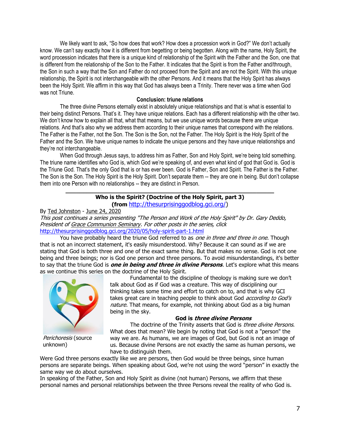We likely want to ask, "So how does that work? How does a procession work in God?" We don't actually know. We can't say exactly how it is different from begetting or being begotten. Along with the name, Holy Spirit, the word procession indicates that there is a unique kind of relationship of the Spirit with the Father and the Son, one that is different from the relationship of the Son to the Father. It indicates that the Spirit is from the Father and/through, the Son in such a way that the Son and Father do not proceed from the Spirit and are not the Spirit. With this unique relationship, the Spirit is not interchangeable with the other Persons. And it means that the Holy Spirit has always been the Holy Spirit. We affirm in this way that God has always been a Trinity. There never was a time when God was not Triune.

# **Conclusion: triune relations**

The three divine Persons eternally exist in absolutely unique relationships and that is what is essential to their being distinct Persons. That's it. They have unique relations. Each has a different relationship with the other two. We don't know how to explain all that, what that means, but we use unique words because there are unique relations. And that's also why we address them according to their unique names that correspond with the relations. The Father is the Father, not the Son. The Son is the Son, not the Father. The Holy Spirit is the Holy Spirit of the Father and the Son. We have unique names to indicate the unique persons and they have unique relationships and they're not interchangeable.

When God through Jesus says, to address him as Father, Son and Holy Spirit, we're being told something. The triune name identifies who God is, which God we're speaking of, and even what kind of god that God is. God is the Triune God. That's the only God that is or has ever been. God is Father, Son and Spirit. The Father is the Father. The Son is the Son. The Holy Spirit is the Holy Spirit. Don't separate them -- they are one in being. But don't collapse them into one Person with no relationships -- they are distinct in Person.

## **\_\_\_\_\_\_\_\_\_\_\_\_\_\_\_\_\_\_\_\_\_\_\_\_\_\_\_\_\_\_\_\_\_\_\_\_\_\_\_\_\_\_\_\_\_\_\_\_\_\_\_\_\_\_\_\_\_\_\_ Who is the Spirit? (Doctrine of the Holy Spirit, part 3) (from** [http://thesurprisinggodblog.gci.org/\)](http://thesurprisinggodblog.gci.org/)

By [Ted Johnston](https://www.blogger.com/profile/08677739021765621811) - [June 24, 2020](http://thesurprisinggodblog.gci.org/2020/06/holy-spirit-part-3.html)

This post continues a series presenting "The Person and Work of the Holy Spirit" by Dr. Gary Deddo, President of [Grace Communion Seminary.](https://www.gcs.edu/) For other posts in the series, click <http://thesurprisinggodblog.gci.org/2020/05/holy-spirit-part-1.html>

You have probably heard the triune God referred to as one in three and three in one. Though that is not an incorrect statement, it's easily misunderstood. Why? Because it can sound as if we are stating that God is both three and one of the exact same thing. But that makes no sense. God is not one being and three beings; nor is God one person and three persons. To avoid misunderstandings, it's better to say that the triune God is **one in being and three in divine Persons**. Let's explore what this means as we continue this series on the doctrine of the Holy Spirit.



Perichoresis (source unknown)

Fundamental to the discipline of theology is making sure we don't talk about God as if God was a creature. This way of disciplining our thinking takes some time and effort to catch on to, and that is why GCI takes great care in teaching people to think about God *according to God's* nature. That means, for example, not thinking about God as a big human being in the sky.

# **God is three divine Persons**

The doctrine of the Trinity asserts that God is *three divine Persons*. What does that mean? We begin by noting that God is not a "person" the way we are. As humans, we are images of God, but God is not an image of us. Because divine Persons are not exactly the same as human persons, we have to distinguish them.

Were God three persons exactly like we are persons, then God would be three beings, since human persons are separate beings. When speaking about God, we're not using the word "person" in exactly the same way we do about ourselves.

In speaking of the Father, Son and Holy Spirit as divine (not human) Persons, we affirm that these personal names and personal relationships between the three Persons reveal the reality of who God is.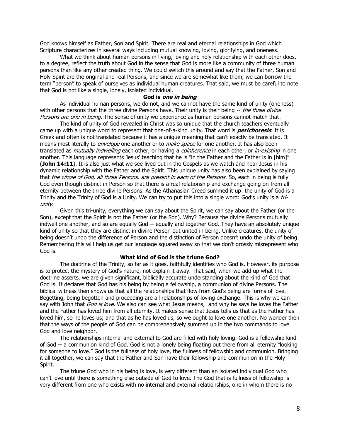God knows himself as Father, Son and Spirit. There are real and eternal relationships in God which Scripture characterizes in several ways including mutual knowing, loving, glorifying, and oneness.

What we think about human persons in living, loving and holy relationship with each other does, to a degree, reflect the truth about God in the sense that God is more like a community of three human persons than like any other created thing. We could switch this around and say that the Father, Son and Holy Spirit are the original and real Persons, and since we are somewhat like them, we can borrow the term "person" to speak of ourselves as individual human creatures. That said, we must be careful to note that God is not like a single, lonely, isolated individual.

#### **God is one in being**

As individual human persons, we do not, and we cannot have the same kind of unity (oneness) with other persons that the three divine Persons have. Their unity is their being -- the three divine Persons are one in being. The sense of unity we experience as human persons cannot match that.

The kind of unity of God revealed in Christ was so unique that the church teachers eventually came up with a unique word to represent that one-of-a-kind unity. That word is **perichoresis**. It is Greek and often is not translated because it has a unique meaning that can't exactly be translated. It means most literally to *envelope* one another or to *make space* for one another. It has also been translated as *mutually indwelling* each other, or having a *coinherence* in each other, or *in-existing* in one another. This language represents Jesus' teaching that he is "in the Father and the Father is in [him]" (**[John 14:11](https://biblia.com/bible/niv/John%2014.11)**). It is also just what we see lived out in the Gospels as we watch and hear Jesus in his dynamic relationship with the Father and the Spirit. This unique unity has also been explained by saying that the whole of God, all three Persons, are present in each of the Persons. So, each in being is fully God even though distinct in Person so that there is a real relationship and exchange going on from all eternity between the three divine Persons. As the Athanasian Creed summed it up: the unity of God is a Trinity and the Trinity of God is a Unity. We can try to put this into a single word: God's unity is a triunity.

Given this tri-unity, everything we can say about the Spirit, we can say about the Father (or the Son), except that the Spirit is not the Father (or the Son). Why? Because the divine Persons mutually indwell one another, and so are equally God -- equally and together God. They have an absolutely unique kind of unity so that they are distinct in divine Person but united in being. Unlike creatures, the unity of being doesn't undo the difference of Person and the distinction of Person doesn't undo the unity of being. Remembering this will help us get our language squared away so that we don't grossly misrepresent who God is.

#### **What kind of God is the triune God?**

The doctrine of the Trinity, so far as it goes, faithfully identifies who God is. However, its purpose is to protect the mystery of God's nature, not explain it away. That said, when we add up what the doctrine asserts, we are given significant, biblically accurate understanding about the kind of God that God is. It declares that God has his being by being a fellowship, a communion of divine Persons. The biblical witness then shows us that all the relationships that flow from God's being are forms of love. Begetting, being begotten and proceeding are all relationships of loving exchange. This is why we can say with John that God is love. We also can see what Jesus means, and why he says he loves the Father and the Father has loved him from all eternity. It makes sense that Jesus tells us that as the Father has loved him, so he loves us; and that as he has loved us, so we ought to love one another. No wonder then that the ways of the people of God can be comprehensively summed up in the two commands to love God and love neighbor.

The relationships internal and external to God are filled with holy loving. God is a fellowship kind of God -- a communion kind of God. God is not a lonely being floating out there from all eternity "looking for someone to love." God is the fullness of holy love, the fullness of fellowship and communion. Bringing it all together, we can say that the Father and Son have their fellowship and communion in the Holy Spirit.

The triune God who in his being is love, is very different than an isolated individual God who can't love until there is something else outside of God to love. The God that is fullness of fellowship is very different from one who exists with no internal and external relationships, one in whom there is no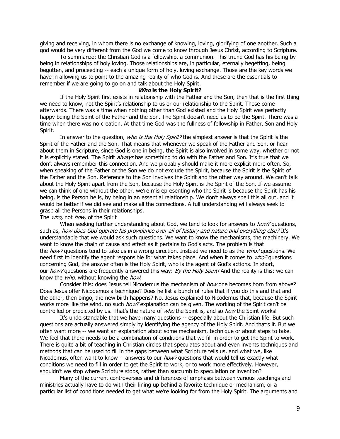giving and receiving, in whom there is no exchange of knowing, loving, glorifying of one another. Such a god would be very different from the God we come to know through Jesus Christ, according to Scripture.

To summarize: the Christian God is a fellowship, a communion. This triune God has his being by being in relationships of holy loving. Those relationships are, in particular, eternally begetting, being begotten, and proceeding -- each a unique form of holy, loving exchange. Those are the key words we have in allowing us to point to the amazing reality of who God is. And these are the essentials to remember if we are going to go on and talk about the Holy Spirit.

#### **Who is the Holy Spirit?**

If the Holy Spirit first exists in relationship with the Father and the Son, then that is the first thing we need to know, not the Spirit's relationship to us or our relationship to the Spirit. Those come afterwards. There was a time when nothing other than God existed and the Holy Spirit was perfectly happy being the Spirit of the Father and the Son. The Spirit doesn't need us to be the Spirit. There was a time when there was no creation. At that time God was the fullness of fellowship in Father, Son and Holy Spirit.

In answer to the question, who is the Holy Spirit? the simplest answer is that the Spirit is the Spirit of the Father and the Son. That means that whenever we speak of the Father and Son, or hear about them in Scripture, since God is one in being, the Spirit is also involved in some way, whether or not it is explicitly stated. The Spirit *always* has something to do with the Father and Son. It's true that we don't always remember this connection. And we probably should make it more explicit more often. So, when speaking of the Father or the Son we do not exclude the Spirit, because the Spirit is the Spirit of the Father and the Son. Reference to the Son involves the Spirit and the other way around. We can't talk about the Holy Spirit apart from the Son, because the Holy Spirit is the Spirit of the Son. If we assume we can think of one without the other, we're misrepresenting who the Spirit is because the Spirit has his being, is the Person he is, by being in an essential relationship. We don't always spell this all out, and it would be better if we did see and make all the connections. A full understanding will always seek to grasp all the Persons in their relationships.

#### The who, not how, of the Spirit

When seeking further understanding about God, we tend to look for answers to *how?* questions, such as, how does God operate his providence over all of history and nature and everything else? It's understandable that we would ask such questions. We want to know the mechanisms, the machinery. We want to know the chain of cause and effect as it pertains to God's acts. The problem is that the *how?* questions tend to take us in a wrong direction. Instead we need to as the *who?* questions. We need first to identify the agent responsible for what takes place. And when it comes to who? questions concerning God, the answer often is the Holy Spirit, who is the agent of God's actions. In short, our how? questions are frequently answered this way: By the Holy Spirit! And the reality is this: we can know the who, without knowing the how!

Consider this: does Jesus tell Nicodemus the mechanism of *how* one becomes born from above? Does Jesus offer Nicodemus a technique? Does he list a bunch of rules that if you do this and that and the other, then bingo, the new birth happens? No. Jesus explained to Nicodemus that, because the Spirit works more like the wind, no such *how?* explanation can be given. The working of the Spirit can't be controlled or predicted by us. That's the nature of who the Spirit is, and so how the Spirit works!

It's understandable that we have many questions -- especially about the Christian life. But such questions are actually answered simply by identifying the agency of the Holy Spirit. And that's it. But we often want more -- we want an explanation about some mechanism, technique or about steps to take. We feel that there needs to be a combination of conditions that we fill in order to get the Spirit to work. There is quite a bit of teaching in Christian circles that speculates about and even invents techniques and methods that can be used to fill in the gaps between what Scripture tells us, and what we, like Nicodemus, often want to know -- answers to our *how?* questions that would tell us exactly what conditions we need to fill in order to get the Spirit to work, or to work more effectively. However, shouldn't we stop where Scripture stops, rather than succumb to speculation or invention?

Many of the current controversies and differences of emphasis between various teachings and ministries actually have to do with their lining up behind a favorite technique or mechanism, or a particular list of conditions needed to get what we're looking for from the Holy Spirit. The arguments and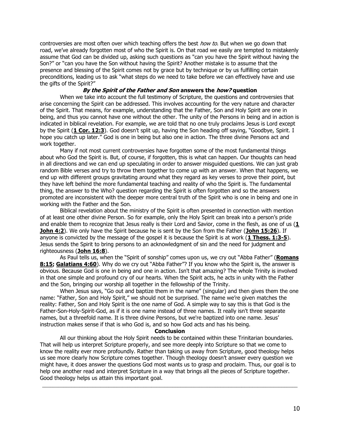controversies are most often over which teaching offers the best *how to*. But when we go down that road, we've already forgotten most of who the Spirit is. On that road we easily are tempted to mistakenly assume that God can be divided up, asking such questions as "can you have the Spirit without having the Son?" or "can you have the Son without having the Spirit? Another mistake is to assume that the presence and blessing of the Spirit comes not by grace but by technique or by us fulfilling certain preconditions, leading us to ask "what steps do we need to take before we can effectively have and use the gifts of the Spirit?"

# **By the Spirit of the Father and Son answers the how? question**

When we take into account the full testimony of Scripture, the questions and controversies that arise concerning the Spirit can be addressed. This involves accounting for the very nature and character of the Spirit. That means, for example, understanding that the Father, Son and Holy Spirit are one in being, and thus you cannot have one without the other. The unity of the Persons in being and in action is indicated in biblical revelation. For example, we are told that no one truly proclaims Jesus is Lord except by the Spirit (**[1 Cor. 12:3](https://biblia.com/bible/niv/1%20Cor.%2012.3)**). God doesn't split up, having the Son heading off saying, "Goodbye, Spirit. I hope you catch up later." God is one in being but also one in action. The three divine Persons act and work together.

Many if not most current controversies have forgotten some of the most fundamental things about who God the Spirit is. But, of course, if forgotten, this is what can happen. Our thoughts can head in all directions and we can end up speculating in order to answer misguided questions. We can just grab random Bible verses and try to throw them together to come up with an answer. When that happens, we end up with different groups gravitating around what they regard as key verses to prove their point, but they have left behind the more fundamental teaching and reality of who the Spirit is. The fundamental thing, the answer to the Who? question regarding the Spirit is often forgotten and so the answers promoted are inconsistent with the deeper more central truth of the Spirit who is one in being and one in working with the Father and the Son.

Biblical revelation about the ministry of the Spirit is often presented in connection with mention of at least one other divine Person. So for example, only the Holy Spirit can break into a person's pride and enable them to recognize that Jesus really is their Lord and Savior, come in the flesh, as one of us (**[1](https://biblia.com/bible/niv/1%20John%204.2)  [John 4:2](https://biblia.com/bible/niv/1%20John%204.2)**). We only have the Spirit because he is sent by the Son from the Father (**[John 15:26](https://biblia.com/bible/niv/John%2015.26)**). If anyone is convicted by the message of the gospel it is because the Spirit is at work (**[1 Thess. 1:3-5](https://biblia.com/bible/niv/1%20Thess.%201.3-5)**). Jesus sends the Spirit to bring persons to an acknowledgment of sin and the need for judgment and righteousness (**[John 16:8](https://biblia.com/bible/niv/John%2016.8)**).

As Paul tells us, when the "Spirit of sonship" comes upon us, we cry out "Abba Father" (**[Romans](https://biblia.com/bible/niv/Rom%208.15)  [8:15;](https://biblia.com/bible/niv/Rom%208.15) [Galatians 4:60](https://biblia.com/bible/niv/Gal%204.60)**). Why do we cry out "Abba Father"? If you know who the Spirit is, the answer is obvious. Because God is one in being and one in action. Isn't that amazing? The whole Trinity is involved in that one simple and profound cry of our hearts. When the Spirit acts, he acts in unity with the Father and the Son, bringing our worship all together in the fellowship of the Trinity.

When Jesus says, "Go out and baptize them in the name" (singular) and then gives them the one name: "Father, Son and Holy Spirit," we should not be surprised. The name we're given matches the reality: Father, Son and Holy Spirit is the one name of God. A simple way to say this is that God is the Father-Son-Holy-Spirit-God, as if it is one name instead of three names. It really isn't three separate names, but a threefold name. It is three divine Persons, but we're baptized into one name. Jesus' instruction makes sense if that is who God is, and so how God acts and has his being.

#### **Conclusion**

All our thinking about the Holy Spirit needs to be contained within these Trinitarian boundaries. That will help us interpret Scripture properly, and see more deeply into Scripture so that we come to know the reality ever more profoundly. Rather than taking us away from Scripture, good theology helps us see more clearly how Scripture comes together. Though theology doesn't answer every question we might have, it does answer the questions God most wants us to grasp and proclaim. Thus, our goal is to help one another read and interpret Scripture in a way that brings all the pieces of Scripture together. Good theology helps us attain this important goal.

**\_\_\_\_\_\_\_\_\_\_\_\_\_\_\_\_\_\_\_\_\_\_\_\_\_\_\_\_\_\_\_\_\_\_\_\_\_\_\_\_\_\_\_\_\_\_\_\_\_\_\_\_\_\_\_\_\_\_\_\_\_\_\_\_\_\_\_\_\_\_\_\_\_\_\_\_\_\_\_\_\_\_\_\_\_\_\_\_\_\_\_\_\_\_\_\_**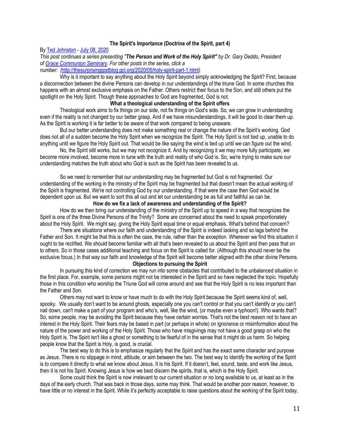## **The Spirit's Importance (Doctrine of the Spirit, part 4)**

#### By [Ted Johnston](https://www.blogger.com/profile/08677739021765621811) - [July 08, 2020](http://thesurprisinggodblog.gci.org/2020/07/holy-spirit-part-4.html)

*This post continues a series presenting "The Person and Work of the Holy Spirit" by Dr. Gary Deddo, President of [Grace Communion Seminary.](https://www.gcs.edu/) For other posts in the series, click a* 

# *number: (*[http://thesurprisinggodblog.gci.org/2020/05/holy-spirit-part-1.html\)](http://thesurprisinggodblog.gci.org/2020/05/holy-spirit-part-1.html)

Why is it important to say anything about the Holy Spirit beyond simply acknowledging the Spirit? First, because a disconnection between the divine Persons can develop in our understandings of the triune God. In some churches this happens with an almost exclusive emphasis on the Father. Others restrict their focus to the Son, and still others put the spotlight on the Holy Spirit. Though these approaches to God are fragmented, God is not.

## **What a theological understanding of the Spirit offers**

Theological work aims to fix things on our side, not fix things on God's side. So, we can grow in understanding even if the reality is not changed by our better grasp. And if we have misunderstandings, it will be good to clear them up. As the Spirit is working it is far better to be aware of that work compared to being unaware.

But our better understanding does not make something real or change the nature of the Spirit's working. God does not all of a sudden become the Holy Spirit when we recognize the Spirit. The Holy Spirit is not tied up, unable to do anything until we figure the Holy Spirit out. That would be like saying the wind is tied up until we can figure out the wind.

No, the Spirit still works, but we may not recognize it. And by recognizing it we may more fully participate, we become more involved, become more in tune with the truth and reality of who God is. So, we're trying to make sure our understanding matches the truth about who God is such as the Spirit has been revealed to us.

So we need to remember that our understanding may be fragmented but God is not fragmented. Our understanding of the working in the ministry of the Spirit may be fragmented but that doesn't mean the actual working of the Spirit is fragmented. We're not controlling God by our understanding. If that were the case then God would be dependent upon us. But we want to sort this all out and let our understanding be as full and faithful as can be.

## **How do we fix a lack of awareness and understanding of the Spirit?**

How do we then bring our understanding of the ministry of the Spirit up to speed in a way that recognizes the Spirit is one of the three Divine Persons of the Trinity? Some are concerned about the need to speak proportionately about the Holy Spirit. We might say, giving the Holy Spirit equal time or equal emphasis. What's behind that concern?

There are situations where our faith and understanding of the Spirit is indeed lacking and so lags behind the Father and Son. It might be that this is often the case, the rule, rather than the exception. Wherever we find this situation it ought to be rectified. We should become familiar with all that's been revealed to us about the Spirit and then pass that on to others. So in those cases additional teaching and focus on the Spirit is called for. (Although this should never be the exclusive focus.) In that way our faith and knowledge of the Spirit will become better aligned with the other divine Persons.

# **Objections to pursuing the Spirit**

In pursuing this kind of correction we may run into some obstacles that contributed to the unbalanced situation in the first place. For, example, some persons might not be interested in the Spirit and so have neglected the topic. Hopefully those in this condition who worship the Triune God will come around and see that the Holy Spirit is no less important than the Father and Son.

Others may not want to know or have much to do with the Holy Spirit because the Spirit seems kind of, well, spooky. We usually don't want to be around ghosts, especially one you can't control or that you can't identify or you can't nail down, can't make a part of your program and who's, well, like the wind, (or maybe even a typhoon!). Who wants that? So, some people, may be avoiding the Spirit because they have certain worries. That's not the best reason not to have an interest in the Holy Spirit. Their fears may be based in part (or perhaps in whole) on ignorance or misinformation about the nature of the power and working of the Holy Spirit. Those who have misgivings may not have a good grasp on who the Holy Spirit is. The Spirit isn't like a ghost or something to be fearful of in the sense that it might do us harm. So helping people know that the Spirit is Holy, is good, is crucial.

The best way to do this is to emphasize regularly that the Spirit and has the exact same character and purpose as Jesus. There is no slippage in mind, attitude, or aim between the two. The best way to identify the working of the Spirit is to compare it directly to what we know about Jesus. It is his Spirit. If it doesn't, feel, sound, taste, and work like Jesus, then it is not his Spirit. Knowing Jesus is how we best discern the spirits, that is, which is the Holy Spirit.

Some could think the Spirit is now irrelevant to our current situation or no long available to us, at least as in the days of the early church. That was back in those days, some may think. That would be another poor reason, however, to have little or no interest in the Spirit. While it's perfectly acceptable to raise questions about the working of the Spirit today,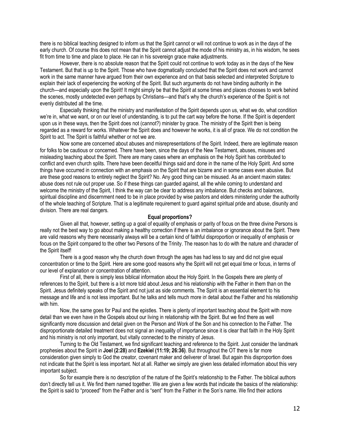there is no biblical teaching designed to inform us that the Spirit cannot or will not continue to work as in the days of the early church. Of course this does not mean that the Spirit cannot adjust the mode of his ministry as, in his wisdom, he sees fit from time to time and place to place. He can in his sovereign grace make adjustments.

However, there is no absolute reason that the Spirit could not continue to work today as in the days of the New Testament. But that is up to the Spirit. Those who have dogmatically concluded that the Spirit does not work and cannot work in the same manner have argued from their own experience and on that basis selected and interpreted Scripture to explain their lack of experiencing the working of the Spirit. But such arguments do not have binding authority in the church—and especially upon the Spirit! It might simply be that the Spirit at some times and places chooses to work behind the scenes, mostly undetected even perhaps by Christians—and that's why the church's experience of the Spirit is not evenly distributed all the time.

Especially thinking that the ministry and manifestation of the Spirit depends upon us, what we do, what condition we're in, what we want, or on our level of understanding, is to put the cart way before the horse. If the Spirit is dependent upon us in these ways, then the Spirit does not (cannot?) minister by grace. The ministry of the Spirit then is being regarded as a reward for works. Whatever the Spirit does and however he works, it is all of grace. We do not condition the Spirit to act. The Spirit is faithful whether or not we are.

Now some are concerned about abuses and misrepresentations of the Spirit. Indeed, there are legitimate reason for folks to be cautious or concerned. There have been, since the days of the New Testament, abuses, misuses and misleading teaching about the Spirit. There are many cases where an emphasis on the Holy Spirit has contributed to conflict and even church splits. There have been deceitful things said and done in the name of the Holy Spirit. And some things have occurred in connection with an emphasis on the Spirit that are bizarre and in some cases even abusive. But are these good reasons to entirely neglect the Spirit? No. Any good thing can be misused. As an ancient maxim states: abuse does not rule out proper use. So if these things can guarded against, all the while coming to understand and welcome the ministry of the Spirit, I think the way can be clear to address any imbalance. But checks and balances, spiritual discipline and discernment need to be in place provided by wise pastors and elders ministering under the authority of the whole teaching of Scripture. That is a legitimate requirement to guard against spiritual pride and abuse, disunity and division. There are real dangers.

# **Equal proportions?**

Given all that, however, setting up a goal of equality of emphasis or parity of focus on the three divine Persons is really not the best way to go about making a healthy correction if there is an imbalance or ignorance about the Spirit. There are valid reasons why there necessarily always will be a certain kind of faithful disproportion or inequality of emphasis or focus on the Spirit compared to the other two Persons of the Trinity. The reason has to do with the nature and character of the Spirit itself!

There is a good reason why the church down through the ages has had less to say and did not give equal concentration or time to the Spirit. Here are some good reasons why the Spirit will not get equal time or focus, in terms of our level of explanation or concentration of attention.

First of all, there is simply less biblical information about the Holy Spirit. In the Gospels there are plenty of references to the Spirit, but there is a lot more told about Jesus and his relationship with the Father in them than on the Spirit. Jesus definitely speaks of the Spirit and not just as side comments. The Spirit is an essential element to his message and life and is not less important. But he talks and tells much more in detail about the Father and his relationship with him.

Now, the same goes for Paul and the epistles. There is plenty of important teaching about the Spirit with more detail than we even have in the Gospels about our living in relationship with the Spirit. But we find there as well significantly more discussion and detail given on the Person and Work of the Son and his connection to the Father. The disproportionate detailed treatment does not signal an inequality of importance since it is clear that faith in the Holy Spirit and his ministry is not only important, but vitally connected to the ministry of Jesus.

Turning to the Old Testament, we find significant teaching and reference to the Spirit. Just consider the landmark prophesies about the Spirit in **Joel (2:28)** and **Ezekiel (11:19; 26:36)**. But throughout the OT there is far more consideration given simply to God the creator, covenant maker and deliverer of Israel. But again this disproportion does not indicate that the Spirit is less important. Not at all. Rather we simply are given less detailed information about this very important subject.

So for example there is no description of the nature of the Spirit's relationship to the Father. The biblical authors don't directly tell us it. We find them named together. We are given a few words that indicate the basics of the relationship: the Spirit is said to "proceed" from the Father and is "sent" from the Father in the Son's name. We find their actions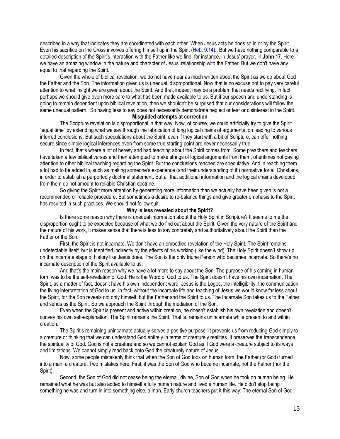described in a way that indicates they are coordinated with each other. When Jesus acts he does so in or by the Spirit. Even his sacrifice on the Cross involves offering himself up in the Spirit [\(Heb. 9:14\)](https://biblia.com/bible/niv/Heb.%209.14).. But we have nothing comparable to a detailed description of the Spirit's interaction with the Father like we find, for instance, in Jesus' prayer, in **John 17.** Here we have an amazing window in the nature and character of Jesus' relationship with the Father. But we don't have any equal to that regarding the Spirit.

Given the whole of biblical revelation, we do not have near as much written about the Spirit as we do about God the Father and the Son. The information given us is unequal, disproportional. Now that is no excuse not to pay very careful attention to what insight we are given about the Spirit. And that, indeed, may be a problem that needs rectifying. In fact, perhaps we should give even more care to what has been made available to us. But if our speech and understanding is going to remain dependent upon biblical revelation, then we shouldn't be surprised that our considerations will follow the same unequal pattern. So having less to say does not necessarily demonstrate neglect or fear or disinterest in the Spirit.

# **Misguided attempts at correction**

The Scripture revelation is disproportional in that way. Now, of course, we could artificially try to give the Spirit "equal time" by extending what we say through the fabrication of long logical chains of argumentation leading to various inferred conclusions. But such speculations about the Spirit, even if they start with a bit of Scripture, can offer nothing secure since simple logical inferences even from some true starting point are never necessarily true.

In fact, that's where a lot of heresy and bad teaching about the Spirit comes from. Some preachers and teachers have taken a few biblical verses and then attempted to make strings of logical arguments from them, oftentimes not paying attention to other biblical teaching regarding the Spirit. But the conclusions reached are speculative. And in reaching them a lot had to be added in, such as making someone's experience (and their understanding of it!) normative for all Christians, in order to establish a purportedly doctrinal statement. But all that additional information and the logical chains developed from them do not amount to reliable Christian doctrine.

So giving the Spirit more attention by generating more information than we actually have been given is not a recommended or reliable procedure. But sometimes a desire to re-balance things and give greater emphasis to the Spirit has resulted in such practices. We should not follow suit.

## **Why is less revealed about the Spirit?**

Is there some reason why there is unequal information about the Holy Spirit in Scripture? It seems to me the disproportion ought to be expected because of what we do find out about the Spirit. Given the very nature of the Spirit and the nature of his work, it makes sense that there is less to say concretely and authoritatively about the Spirit than the Father or the Son.

First, the Spirit is not incarnate. We don't have an embodied revelation of the Holy Spirit. The Spirit remains undetectable itself, but is identified indirectly by the effects of his working (like the wind). The Holy Spirit doesn't show up on the incarnate stage of history like Jesus does. The Son is the only triune Person who becomes incarnate. So there's no incarnate description of the Spirit available to us.

And that's the main reason why we have a lot more to say about the Son. The purpose of his coming in human form was to be the self-revelation of God. He is the Word of God to us. The Spirit doesn't have his own incarnation. The Spirit, as a matter of fact, doesn't have his own independent word. Jesus is the Logos, the intelligibility, the communication, the living interpretation of God to us. In fact, without the incarnate life and teaching of Jesus we would know far less about the Spirit, for the Son reveals not only himself, but the Father and the Spirit to us. The Incarnate Son takes us to the Father and sends us the Spirit. So we approach the Spirit through the mediation of the Son.

Even when the Spirit is present and active within creation, he doesn't establish his own revelation and doesn't convey his own self-explanation. The Spirit remains the Spirit. That is, remains unincarnate while present to and within creation.

The Spirit's remaining unincarnate actually serves a positive purpose. It prevents us from reducing God simply to a creature or thinking that we can understand God entirely in terms of creaturely realities. It preserves the transcendence, the spirituality of God. God is not a creature and so we cannot explain God as if God were a creature subject to its ways and limitations. We cannot simply read back onto God the creaturely nature of Jesus.

Now, some people mistakenly think that when the Son of God took on human form, the Father (or God) turned into a man, a creature. Two mistakes here. First, it was the Son of God who became incarnate, not the Father (nor the Spirit).

Second, the Son of God did not cease being the eternal, divine, Son of God when he took on human being. He remained what he was but also added to himself a fully human nature and lived a human life. He didn't stop being something he was and turn in into something else, a man. Early church teachers put it this way: The eternal Son of God,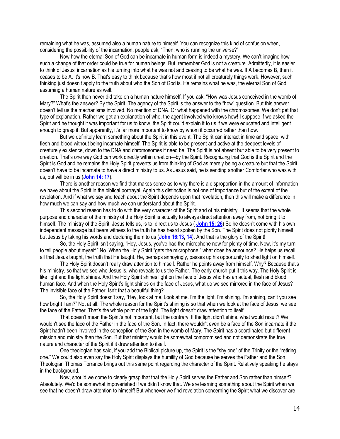remaining what he was, assumed also a human nature to himself. You can recognize this kind of confusion when, considering the possibility of the incarnation, people ask, "Then, who is running the universe?"

Now how the eternal Son of God can be incarnate in human form is indeed a mystery. We can't imagine how such a change of that order could be true for human beings. But, remember God is not a creature. Admittedly, it is easier to think of Jesus' incarnation as his turning into what he was not and ceasing to be what he was. If A becomes B, then it ceases to be A. It's now B. That's easy to think because that's how most if not all creaturely things work. However, such thinking just doesn't apply to the truth about who the Son of God is. He remains what he was, the eternal Son of God, assuming a human nature as well.

The Spirit then never did take on a human nature himself. If you ask, "How was Jesus conceived in the womb of Mary?" What's the answer? By the Spirit. The agency of the Spirit is the answer to the "how" question. But this answer doesn't tell us the mechanisms involved. No mention of DNA. Or what happened with the chromosomes. We don't get that type of explanation. Rather we get an explanation of who, the agent involved who knows how! I suppose if we asked the Spirit and he thought it was important for us to know, the Spirit could explain it to us if we were educated and intelligent enough to grasp it. But apparently, it's far more important to know by whom it occurred rather than how.

But we definitely learn something about the Spirit in this event. The Spirit can interact in time and space, with flesh and blood without being incarnate himself. The Spirit is able to be present and active at the deepest levels of creaturely existence, down to the DNA and chromosomes if need be. The Spirit is not absent but able to be very present to creation. That's one way God can work directly within creation—by the Spirit. Recognizing that God is the Spirit and the Spirit is God and he remains the Holy Spirit prevents us from thinking of God as merely being a creature but that the Spirit doesn't have to be incarnate to have a direct ministry to us. As Jesus said, he is sending another Comforter who was with us, but will be in us (**[John 14: 17](https://biblia.com/bible/niv/John%2014.%2017)**).

There is another reason we find that makes sense as to why there is a disproportion in the amount of information we have about the Spirit in the biblical portrayal. Again this distinction is not one of importance but of the extent of the revelation. And if what we say and teach about the Spirit depends upon that revelation, then this will make a difference in how much we can say and how much we can understand about the Spirit.

This second reason has to do with the very character of the Spirit and of his ministry. It seems that the whole purpose and character of the ministry of the Holy Spirit is actually to always direct attention away from, not bring it to himself. The ministry of the Spirit, Jesus tells us, is to direct us to Jesus ( **[John 15: 26](https://biblia.com/bible/niv/John%2015.%2026)**) So he doesn't come with his own independent message but bears witness to the truth he has heard spoken by the Son. The Spirit does not glorify himself but Jesus by taking his words and declaring them to us (**[John 16:13,](https://biblia.com/bible/niv/John%2016.13) [14](https://biblia.com/bible/niv/John%2016.14)**). And that is the glory of the Spirit!

So, the Holy Spirit isn't saying, "Hey, Jesus, you've had the microphone now for plenty of time. Now, it's my turn to tell people about myself." No. When the Holy Spirit "gets the microphone," what does he announce? He helps us recall all that Jesus taught, the truth that He taught. He, perhaps annoyingly, passes up his opportunity to shed light on himself.

The Holy Spirit doesn't really draw attention to himself. Rather he points away from himself. Why? Because that's his ministry, so that we see who Jesus is, who reveals to us the Father. The early church put it this way. The Holy Spirit is like light and the light shines. And the Holy Spirit shines light on the face of Jesus who has an actual, flesh and blood human face. And when the Holy Spirit's light shines on the face of Jesus, what do we see mirrored in the face of Jesus? The invisible face of the Father. Isn't that a beautiful thing?

So, the Holy Spirit doesn't say, "Hey, look at me. Look at me. I'm the light. I'm shining. I'm shining, can't you see how bright I am?" Not at all. The whole reason for the Spirit's shining is so that when we look at the face of Jesus, we see the face of the Father. That's the whole point of the light. The light doesn't draw attention to itself.

That doesn't mean the Spirit's not important, but the contrary! If the light didn't shine, what would result? We wouldn't see the face of the Father in the face of the Son. In fact, there wouldn't even be a face of the Son incarnate if the Spirit hadn't been involved in the conception of the Son in the womb of Mary. The Spirit has a coordinated but different mission and ministry than the Son. But that ministry would be somewhat compromised and not demonstrate the true nature and character of the Spirit if it drew attention to itself.

One theologian has said, if you add the Biblical picture up, the Spirit is the "shy one" of the Trinity or the "retiring one." We could also even say the Holy Spirit displays the humility of God because he serves the Father and the Son. Theologian Thomas Torrance brings out this same point regarding the character of the Spirit. Relatively speaking he stays in the background.

Now, should we come to clearly grasp that that the Holy Spirit serves the Father and Son rather than himself? Absolutely. We'd be somewhat impoverished if we didn't know that. We are learning something about the Spirit when we see that he doesn't draw attention to himself! But whenever we find revelation concerning the Spirit what we discover are